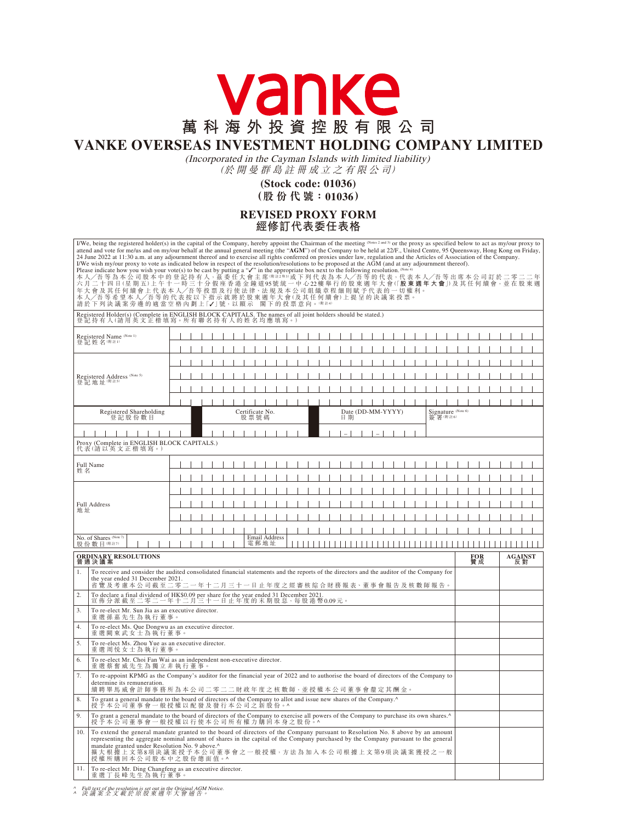

## **VANKE OVERSEAS INVESTMENT HOLDING COMPANY LIMITED**

(Incorporated in the Cayman Islands with limited liability) (於 開 曼 群 島 註 冊 成 立 之 有 限 公 司)

> **(Stock code: 01036) (股 份 代 號:01036)**

## **REVISED PROXY FORM 經修訂代表委任表格**

|                                                                                                                                                                                                                                                                                                                                                                                                           |                                                                                                                                                                                                                                                           | I/We, being the registered holder(s) in the capital of the Company, hereby appoint the Chairman of the meeting (Notes 2 and 3) or the proxy as specified below to act as my/our proxy to<br>attend and vote for me/us and on my/our behalf at the annual general meeting (the "AGM") of the Company to be held at 22/F., United Centre, 95 Queensway, Hong Kong on Friday,<br>24 June 2022 at 11:30 a.m. at any adjournment thereof and to exercise all rights conferred on proxies under law, regulation and the Articles of Association of the Company.<br>I/We wish my/our proxy to vote as indicated below in respect of the resolution/resolutions to be proposed at the AGM (and at any adjournment thereof).<br>Please indicate how you wish your vote(s) to be cast by putting a " $\checkmark$ " in the appropriate box next to the following resolution. (Note 4)<br>本人/吾等為本公司股本中的登記持有人,茲委任大會主席(#فَيَابِقَا وَالْمَجْمِعَةِ وَالْمَجْمَعَةِ وَالْمَجْمَعَةِ وَالْمَجْمَعَ<br>六月二十四日(星期五)上午十一時三十分假座香港金鐘道95號統一中心22樓舉行的股東週年大會(「股東週年大會」)及其任何續會,並在股東週<br>年大會及其任何續會上代表本人/吾等投票及行使法律、法規及本公司組織章程細則賦予代表的一切權利。<br>本人/吾等希望本人/吾等的代表按以下指示就將於股東週年大會(及其任何續會)上提呈的決議案投票。<br>請於下列決議案旁邊的適當空格內劃上「✔」號,以顯示 閣下的投票意向。( <sup>開註4)</sup> |  |                                                                          |
|-----------------------------------------------------------------------------------------------------------------------------------------------------------------------------------------------------------------------------------------------------------------------------------------------------------------------------------------------------------------------------------------------------------|-----------------------------------------------------------------------------------------------------------------------------------------------------------------------------------------------------------------------------------------------------------|-------------------------------------------------------------------------------------------------------------------------------------------------------------------------------------------------------------------------------------------------------------------------------------------------------------------------------------------------------------------------------------------------------------------------------------------------------------------------------------------------------------------------------------------------------------------------------------------------------------------------------------------------------------------------------------------------------------------------------------------------------------------------------------------------------------------------------------------------------------------------------------------------------------------------------------------------------------------------------------------------------------------------------------------------------------------------------------------------------------------------------------------------------------------------------------------------------------------------|--|--------------------------------------------------------------------------|
| Registered Holder(s) (Complete in ENGLISH BLOCK CAPITALS. The names of all joint holders should be stated.)<br>登記持有人(請用英文正楷填寫。所有聯名持有人的姓名均應填寫。)                                                                                                                                                                                                                                                            |                                                                                                                                                                                                                                                           |                                                                                                                                                                                                                                                                                                                                                                                                                                                                                                                                                                                                                                                                                                                                                                                                                                                                                                                                                                                                                                                                                                                                                                                                                         |  |                                                                          |
| Registered Name (Note 1)<br>登記姓名(附註1)                                                                                                                                                                                                                                                                                                                                                                     |                                                                                                                                                                                                                                                           |                                                                                                                                                                                                                                                                                                                                                                                                                                                                                                                                                                                                                                                                                                                                                                                                                                                                                                                                                                                                                                                                                                                                                                                                                         |  |                                                                          |
| Registered Address <sup>(Note 5)</sup><br>登記地址(\\as)                                                                                                                                                                                                                                                                                                                                                      |                                                                                                                                                                                                                                                           |                                                                                                                                                                                                                                                                                                                                                                                                                                                                                                                                                                                                                                                                                                                                                                                                                                                                                                                                                                                                                                                                                                                                                                                                                         |  |                                                                          |
|                                                                                                                                                                                                                                                                                                                                                                                                           |                                                                                                                                                                                                                                                           |                                                                                                                                                                                                                                                                                                                                                                                                                                                                                                                                                                                                                                                                                                                                                                                                                                                                                                                                                                                                                                                                                                                                                                                                                         |  |                                                                          |
|                                                                                                                                                                                                                                                                                                                                                                                                           |                                                                                                                                                                                                                                                           |                                                                                                                                                                                                                                                                                                                                                                                                                                                                                                                                                                                                                                                                                                                                                                                                                                                                                                                                                                                                                                                                                                                                                                                                                         |  |                                                                          |
|                                                                                                                                                                                                                                                                                                                                                                                                           |                                                                                                                                                                                                                                                           |                                                                                                                                                                                                                                                                                                                                                                                                                                                                                                                                                                                                                                                                                                                                                                                                                                                                                                                                                                                                                                                                                                                                                                                                                         |  |                                                                          |
|                                                                                                                                                                                                                                                                                                                                                                                                           |                                                                                                                                                                                                                                                           |                                                                                                                                                                                                                                                                                                                                                                                                                                                                                                                                                                                                                                                                                                                                                                                                                                                                                                                                                                                                                                                                                                                                                                                                                         |  |                                                                          |
|                                                                                                                                                                                                                                                                                                                                                                                                           | Signature (Note 6)<br>Certificate No.<br>Date (DD-MM-YYYY)<br>Registered Shareholding<br>簽署(附註6)<br>登記股份數目<br>股 票 號 碼<br>日期                                                                                                                               |                                                                                                                                                                                                                                                                                                                                                                                                                                                                                                                                                                                                                                                                                                                                                                                                                                                                                                                                                                                                                                                                                                                                                                                                                         |  |                                                                          |
|                                                                                                                                                                                                                                                                                                                                                                                                           |                                                                                                                                                                                                                                                           |                                                                                                                                                                                                                                                                                                                                                                                                                                                                                                                                                                                                                                                                                                                                                                                                                                                                                                                                                                                                                                                                                                                                                                                                                         |  |                                                                          |
| Proxy (Complete in ENGLISH BLOCK CAPITALS.)                                                                                                                                                                                                                                                                                                                                                               |                                                                                                                                                                                                                                                           |                                                                                                                                                                                                                                                                                                                                                                                                                                                                                                                                                                                                                                                                                                                                                                                                                                                                                                                                                                                                                                                                                                                                                                                                                         |  |                                                                          |
| 代 表(請 以 英 文 正 楷 填 寫。)                                                                                                                                                                                                                                                                                                                                                                                     |                                                                                                                                                                                                                                                           |                                                                                                                                                                                                                                                                                                                                                                                                                                                                                                                                                                                                                                                                                                                                                                                                                                                                                                                                                                                                                                                                                                                                                                                                                         |  |                                                                          |
| Full Name<br>姓 名                                                                                                                                                                                                                                                                                                                                                                                          |                                                                                                                                                                                                                                                           |                                                                                                                                                                                                                                                                                                                                                                                                                                                                                                                                                                                                                                                                                                                                                                                                                                                                                                                                                                                                                                                                                                                                                                                                                         |  |                                                                          |
| <b>Full Address</b><br>地址                                                                                                                                                                                                                                                                                                                                                                                 |                                                                                                                                                                                                                                                           |                                                                                                                                                                                                                                                                                                                                                                                                                                                                                                                                                                                                                                                                                                                                                                                                                                                                                                                                                                                                                                                                                                                                                                                                                         |  |                                                                          |
|                                                                                                                                                                                                                                                                                                                                                                                                           |                                                                                                                                                                                                                                                           |                                                                                                                                                                                                                                                                                                                                                                                                                                                                                                                                                                                                                                                                                                                                                                                                                                                                                                                                                                                                                                                                                                                                                                                                                         |  |                                                                          |
|                                                                                                                                                                                                                                                                                                                                                                                                           |                                                                                                                                                                                                                                                           |                                                                                                                                                                                                                                                                                                                                                                                                                                                                                                                                                                                                                                                                                                                                                                                                                                                                                                                                                                                                                                                                                                                                                                                                                         |  |                                                                          |
|                                                                                                                                                                                                                                                                                                                                                                                                           |                                                                                                                                                                                                                                                           |                                                                                                                                                                                                                                                                                                                                                                                                                                                                                                                                                                                                                                                                                                                                                                                                                                                                                                                                                                                                                                                                                                                                                                                                                         |  |                                                                          |
|                                                                                                                                                                                                                                                                                                                                                                                                           |                                                                                                                                                                                                                                                           | <b>Email Address</b>                                                                                                                                                                                                                                                                                                                                                                                                                                                                                                                                                                                                                                                                                                                                                                                                                                                                                                                                                                                                                                                                                                                                                                                                    |  |                                                                          |
| No. of Shares (Note 7)<br>股份數目(附註7)                                                                                                                                                                                                                                                                                                                                                                       |                                                                                                                                                                                                                                                           | 電郵地址                                                                                                                                                                                                                                                                                                                                                                                                                                                                                                                                                                                                                                                                                                                                                                                                                                                                                                                                                                                                                                                                                                                                                                                                                    |  |                                                                          |
| <b>ORDINARY RESOLUTIONS</b><br>普 通 決 議 案                                                                                                                                                                                                                                                                                                                                                                  |                                                                                                                                                                                                                                                           |                                                                                                                                                                                                                                                                                                                                                                                                                                                                                                                                                                                                                                                                                                                                                                                                                                                                                                                                                                                                                                                                                                                                                                                                                         |  | $\begin{array}{c} \textbf{AGAINST} \\ \overline{\mathbf{R}} \end{array}$ |
| 1.                                                                                                                                                                                                                                                                                                                                                                                                        | To receive and consider the audited consolidated financial statements and the reports of the directors and the auditor of the Company for<br>the year ended 31 December 2021.<br>省覽及考慮本公司截至二零二一年十二月三十一日止年度之經審核綜合財務報表、董事會報告及核數師報告。                         |                                                                                                                                                                                                                                                                                                                                                                                                                                                                                                                                                                                                                                                                                                                                                                                                                                                                                                                                                                                                                                                                                                                                                                                                                         |  |                                                                          |
| 2.                                                                                                                                                                                                                                                                                                                                                                                                        | To declare a final dividend of HK\$0.09 per share for the year ended 31 December 2021<br>宣佈分派截至二零二一年十二月三十一日止年度的末期股息,每股港幣0.09元。                                                                                                                            |                                                                                                                                                                                                                                                                                                                                                                                                                                                                                                                                                                                                                                                                                                                                                                                                                                                                                                                                                                                                                                                                                                                                                                                                                         |  |                                                                          |
| 3.                                                                                                                                                                                                                                                                                                                                                                                                        | To re-elect Mr. Sun Jia as an executive director.<br>重 選 孫 嘉 先 生 為 執 行 董 事。                                                                                                                                                                               |                                                                                                                                                                                                                                                                                                                                                                                                                                                                                                                                                                                                                                                                                                                                                                                                                                                                                                                                                                                                                                                                                                                                                                                                                         |  |                                                                          |
| 4.                                                                                                                                                                                                                                                                                                                                                                                                        | To re-elect Ms. Que Dongwu as an executive director.<br>重選闕東武女士為執行董事。                                                                                                                                                                                     |                                                                                                                                                                                                                                                                                                                                                                                                                                                                                                                                                                                                                                                                                                                                                                                                                                                                                                                                                                                                                                                                                                                                                                                                                         |  |                                                                          |
| 5.                                                                                                                                                                                                                                                                                                                                                                                                        | To re-elect Ms. Zhou Yue as an executive director.<br>重選周悦女士為執行董事。                                                                                                                                                                                        |                                                                                                                                                                                                                                                                                                                                                                                                                                                                                                                                                                                                                                                                                                                                                                                                                                                                                                                                                                                                                                                                                                                                                                                                                         |  |                                                                          |
| 6.                                                                                                                                                                                                                                                                                                                                                                                                        | To re-elect Mr. Choi Fan Wai as an independent non-executive director.<br>重選蔡奮威先生為獨立非執行董事。                                                                                                                                                                |                                                                                                                                                                                                                                                                                                                                                                                                                                                                                                                                                                                                                                                                                                                                                                                                                                                                                                                                                                                                                                                                                                                                                                                                                         |  |                                                                          |
| 7.                                                                                                                                                                                                                                                                                                                                                                                                        | To re-appoint KPMG as the Company's auditor for the financial year of 2022 and to authorise the board of directors of the Company to<br>determine its remuneration.<br>續 聘 畢 馬 威 會 計 師 事 務 所 為 本 公 司 二 零 二 二 財 政 年 度 之 核 數 師,並 授 權 本 公 司 董 事 會 釐 定 其 酬 金。 |                                                                                                                                                                                                                                                                                                                                                                                                                                                                                                                                                                                                                                                                                                                                                                                                                                                                                                                                                                                                                                                                                                                                                                                                                         |  |                                                                          |
| 8.                                                                                                                                                                                                                                                                                                                                                                                                        | To grant a general mandate to the board of directors of the Company to allot and issue new shares of the Company.<br>授予本公司董事會一般授權以配發及發行本公司之新股份。^                                                                                                          |                                                                                                                                                                                                                                                                                                                                                                                                                                                                                                                                                                                                                                                                                                                                                                                                                                                                                                                                                                                                                                                                                                                                                                                                                         |  |                                                                          |
| 9.                                                                                                                                                                                                                                                                                                                                                                                                        | To grant a general mandate to the board of directors of the Company to exercise all powers of the Company to purchase its own shares.^<br>授 予 本 公 司 董 事 會 一 般 授 權 以 行 使 本 公 司 所 有 權 力 購 回 本 身 之 股 份。^                                                     |                                                                                                                                                                                                                                                                                                                                                                                                                                                                                                                                                                                                                                                                                                                                                                                                                                                                                                                                                                                                                                                                                                                                                                                                                         |  |                                                                          |
| To extend the general mandate granted to the board of directors of the Company pursuant to Resolution No. 8 above by an amount<br>10.<br>representing the aggregate nominal amount of shares in the capital of the Company purchased by the Company pursuant to the general<br>mandate granted under Resolution No. 9 above.^<br>擴大根據上文第8項決議案授予本公司董事會之一般授權,方法為加入本公司根據上文第9項決議案獲授之一般<br>授權所購回本公司股本中之股份總面值。^ |                                                                                                                                                                                                                                                           |                                                                                                                                                                                                                                                                                                                                                                                                                                                                                                                                                                                                                                                                                                                                                                                                                                                                                                                                                                                                                                                                                                                                                                                                                         |  |                                                                          |
| 11.                                                                                                                                                                                                                                                                                                                                                                                                       | To re-elect Mr. Ding Changfeng as an executive director.<br>重選丁長峰先生為執行董事。                                                                                                                                                                                 |                                                                                                                                                                                                                                                                                                                                                                                                                                                                                                                                                                                                                                                                                                                                                                                                                                                                                                                                                                                                                                                                                                                                                                                                                         |  |                                                                          |

^ Full text of the resolution is set out in the Original AGM Notice. ^ 決 議 案 全 文 載 於 原 股 東 週 年 大 會 通 告。